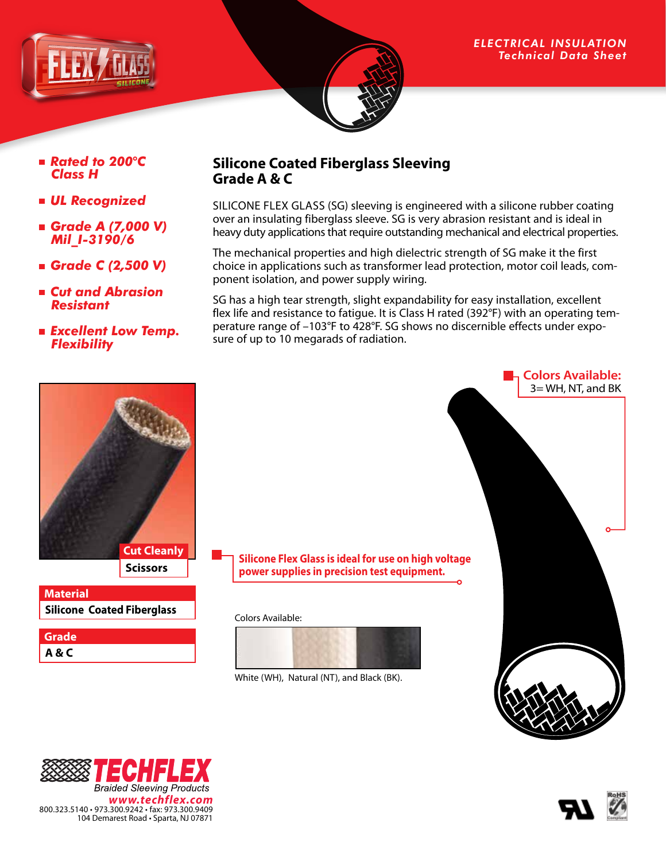



#### *ELECTRICAL INSULATION Technical Data Sheet*

- *Rated to 200*°*C Class H*
- *UL Recognized*
- *Grade A (7,000 V) Mil\_I-3190/6*
- *Grade C (2,500 V)*
- *Cut and Abrasion Resistant*
- *Excellent Low Temp. Flexibility*

## **Silicone Coated Fiberglass Sleeving Grade A & C**

SILICONE FLEX GLASS (SG) sleeving is engineered with a silicone rubber coating over an insulating fiberglass sleeve. SG is very abrasion resistant and is ideal in heavy duty applications that require outstanding mechanical and electrical properties.

The mechanical properties and high dielectric strength of SG make it the first choice in applications such as transformer lead protection, motor coil leads, component isolation, and power supply wiring.

SG has a high tear strength, slight expandability for easy installation, excellent flex life and resistance to fatigue. It is Class H rated (392°F) with an operating temperature range of –103°F to 428°F. SG shows no discernible effects under exposure of up to 10 megarads of radiation.



## **Silicone Coated Fiberglass Material**

| Grade |  |
|-------|--|
| A&C   |  |

**Cut Cleanly Silicone Flex Glass is ideal for use on high voltage power supplies in precision test equipment.**

#### Colors Available:



White (WH), Natural (NT), and Black (BK).



**Colors Available:**